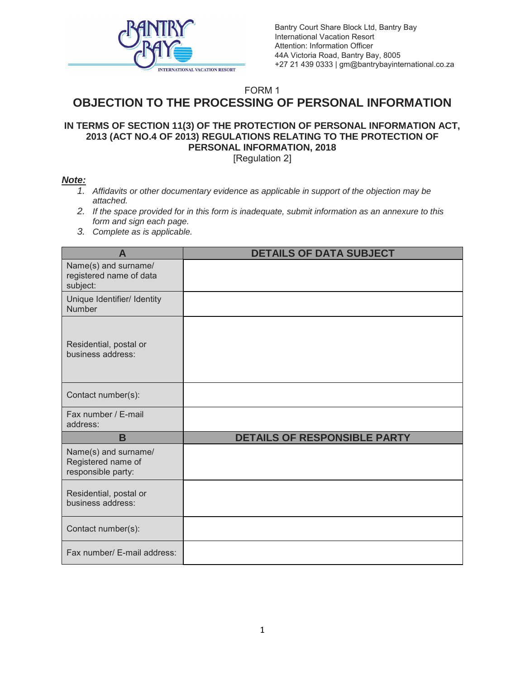

Bantry Court Share Block Ltd, Bantry Bay International Vacation Resort Attention: Information Officer 44A Victoria Road, Bantry Bay, 8005 +27 21 439 0333 | gm@bantrybayinternational.co.za

## FORM 1 **OBJECTION TO THE PROCESSING OF PERSONAL INFORMATION**

## **IN TERMS OF SECTION 11(3) OF THE PROTECTION OF PERSONAL INFORMATION ACT, 2013 (ACT NO.4 OF 2013) REGULATIONS RELATING TO THE PROTECTION OF PERSONAL INFORMATION, 2018**

[Regulation 2]

## *Note:*

- *1. Affidavits or other documentary evidence as applicable in support of the objection may be attached.*
- *2. If the space provided for in this form is inadequate, submit information as an annexure to this form and sign each page.*
- *3. Complete as is applicable.*

| A                                                                | <b>DETAILS OF DATA SUBJECT</b> |
|------------------------------------------------------------------|--------------------------------|
| Name(s) and surname/<br>registered name of data<br>subject:      |                                |
| Unique Identifier/ Identity<br><b>Number</b>                     |                                |
| Residential, postal or<br>business address:                      |                                |
| Contact number(s):                                               |                                |
| Fax number / E-mail<br>address:                                  |                                |
| B                                                                | DETAILS OF RESPONSIBLE PARTY   |
| Name(s) and surname/<br>Registered name of<br>responsible party: |                                |
| Residential, postal or<br>business address:                      |                                |
| Contact number(s):                                               |                                |
| Fax number/ E-mail address:                                      |                                |